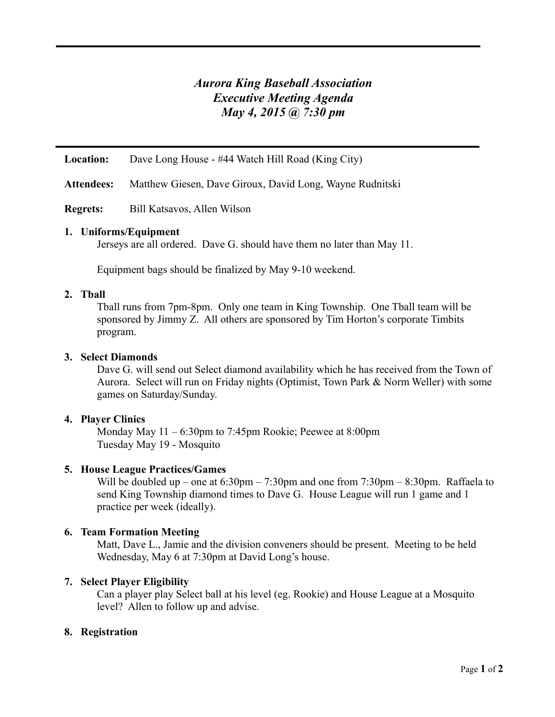# *Aurora King Baseball Association Executive Meeting Agenda May 4, 2015 @ 7:30 pm*

**Location:** Dave Long House - #44 Watch Hill Road (King City)

**Attendees:** Matthew Giesen, Dave Giroux, David Long, Wayne Rudnitski

**Regrets:** Bill Katsavos, Allen Wilson

## **1. Uniforms/Equipment**

Jerseys are all ordered. Dave G. should have them no later than May 11.

Equipment bags should be finalized by May 9-10 weekend.

## **2. Tball**

Tball runs from 7pm-8pm. Only one team in King Township. One Tball team will be sponsored by Jimmy Z. All others are sponsored by Tim Horton's corporate Timbits program.

## **3. Select Diamonds**

Dave G. will send out Select diamond availability which he has received from the Town of Aurora. Select will run on Friday nights (Optimist, Town Park & Norm Weller) with some games on Saturday/Sunday.

## **4. Player Clinics**

Monday May 11 – 6:30pm to 7:45pm Rookie; Peewee at 8:00pm Tuesday May 19 - Mosquito

## **5. House League Practices/Games**

Will be doubled up – one at 6:30pm – 7:30pm and one from 7:30pm – 8:30pm. Raffaela to send King Township diamond times to Dave G. House League will run 1 game and 1 practice per week (ideally).

# **6. Team Formation Meeting**

Matt, Dave L., Jamie and the division conveners should be present. Meeting to be held Wednesday, May 6 at 7:30pm at David Long's house.

## **7. Select Player Eligibility**

Can a player play Select ball at his level (eg. Rookie) and House League at a Mosquito level? Allen to follow up and advise.

## **8. Registration**